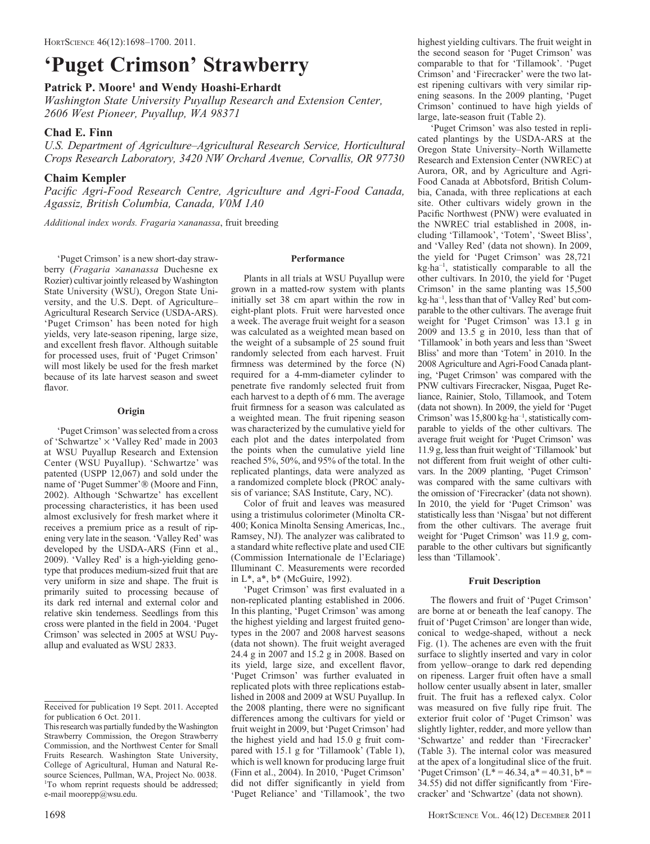# 'Puget Crimson' Strawberry

## Patrick P. Moore<sup>1</sup> and Wendy Hoashi-Erhardt

Washington State University Puyallup Research and Extension Center, 2606 West Pioneer, Puyallup, WA 98371

# Chad E. Finn

U.S. Department of Agriculture–Agricultural Research Service, Horticultural Crops Research Laboratory, 3420 NW Orchard Avenue, Corvallis, OR 97730

# Chaim Kempler

Pacific Agri-Food Research Centre, Agriculture and Agri-Food Canada, Agassiz, British Columbia, Canada, V0M 1A0

Additional index words. Fragaria ×ananassa, fruit breeding

'Puget Crimson' is a new short-day strawberry (Fragaria ×ananassa Duchesne ex Rozier) cultivar jointly released by Washington State University (WSU), Oregon State University, and the U.S. Dept. of Agriculture– Agricultural Research Service (USDA-ARS). 'Puget Crimson' has been noted for high yields, very late-season ripening, large size, and excellent fresh flavor. Although suitable for processed uses, fruit of 'Puget Crimson' will most likely be used for the fresh market because of its late harvest season and sweet flavor.

## **Origin**

'Puget Crimson' was selected from a cross of 'Schwartze'  $\times$  'Valley Red' made in 2003 at WSU Puyallup Research and Extension Center (WSU Puyallup). 'Schwartze' was patented (USPP 12,067) and sold under the name of 'Puget Summer'® (Moore and Finn, 2002). Although 'Schwartze' has excellent processing characteristics, it has been used almost exclusively for fresh market where it receives a premium price as a result of ripening very late in the season. 'Valley Red' was developed by the USDA-ARS (Finn et al., 2009). 'Valley Red' is a high-yielding genotype that produces medium-sized fruit that are very uniform in size and shape. The fruit is primarily suited to processing because of its dark red internal and external color and relative skin tenderness. Seedlings from this cross were planted in the field in 2004. 'Puget Crimson' was selected in 2005 at WSU Puyallup and evaluated as WSU 2833.

## Performance

Plants in all trials at WSU Puyallup were grown in a matted-row system with plants initially set 38 cm apart within the row in eight-plant plots. Fruit were harvested once a week. The average fruit weight for a season was calculated as a weighted mean based on the weight of a subsample of 25 sound fruit randomly selected from each harvest. Fruit firmness was determined by the force (N) required for a 4-mm-diameter cylinder to penetrate five randomly selected fruit from each harvest to a depth of 6 mm. The average fruit firmness for a season was calculated as a weighted mean. The fruit ripening season was characterized by the cumulative yield for each plot and the dates interpolated from the points when the cumulative yield line reached 5%, 50%, and 95% of the total. In the replicated plantings, data were analyzed as a randomized complete block (PROC analysis of variance; SAS Institute, Cary, NC).

Color of fruit and leaves was measured using a tristimulus colorimeter (Minolta CR-400; Konica Minolta Sensing Americas, Inc., Ramsey, NJ). The analyzer was calibrated to a standard white reflective plate and used CIE (Commission Internationale de l'Eclariage) Illuminant C. Measurements were recorded in L\*, a\*, b\* (McGuire, 1992).

'Puget Crimson' was first evaluated in a non-replicated planting established in 2006. In this planting, 'Puget Crimson' was among the highest yielding and largest fruited genotypes in the 2007 and 2008 harvest seasons (data not shown). The fruit weight averaged 24.4 g in 2007 and 15.2 g in 2008. Based on its yield, large size, and excellent flavor, 'Puget Crimson' was further evaluated in replicated plots with three replications established in 2008 and 2009 at WSU Puyallup. In the 2008 planting, there were no significant differences among the cultivars for yield or fruit weight in 2009, but 'Puget Crimson' had the highest yield and had 15.0 g fruit compared with 15.1 g for 'Tillamook' (Table 1), which is well known for producing large fruit (Finn et al., 2004). In 2010, 'Puget Crimson' did not differ significantly in yield from 'Puget Reliance' and 'Tillamook', the two

highest yielding cultivars. The fruit weight in the second season for 'Puget Crimson' was comparable to that for 'Tillamook'. 'Puget Crimson' and 'Firecracker' were the two latest ripening cultivars with very similar ripening seasons. In the 2009 planting, 'Puget Crimson' continued to have high yields of large, late-season fruit (Table 2).

'Puget Crimson' was also tested in replicated plantings by the USDA-ARS at the Oregon State University–North Willamette Research and Extension Center (NWREC) at Aurora, OR, and by Agriculture and Agri-Food Canada at Abbotsford, British Columbia, Canada, with three replications at each site. Other cultivars widely grown in the Pacific Northwest (PNW) were evaluated in the NWREC trial established in 2008, including 'Tillamook', 'Totem', 'Sweet Bliss', and 'Valley Red' (data not shown). In 2009, the yield for 'Puget Crimson' was 28,721 kg-ha–1, statistically comparable to all the other cultivars. In 2010, the yield for 'Puget Crimson' in the same planting was 15,500 kg-ha–1, less than that of 'Valley Red' but comparable to the other cultivars. The average fruit weight for 'Puget Crimson' was 13.1 g in 2009 and 13.5 g in 2010, less than that of 'Tillamook' in both years and less than 'Sweet Bliss' and more than 'Totem' in 2010. In the 2008 Agriculture and Agri-Food Canada planting, 'Puget Crimson' was compared with the PNW cultivars Firecracker, Nisgaa, Puget Reliance, Rainier, Stolo, Tillamook, and Totem (data not shown). In 2009, the yield for 'Puget Crimson' was 15,800 kg·ha<sup>-1</sup>, statistically comparable to yields of the other cultivars. The average fruit weight for 'Puget Crimson' was 11.9 g, less than fruit weight of 'Tillamook' but not different from fruit weight of other cultivars. In the 2009 planting, 'Puget Crimson' was compared with the same cultivars with the omission of 'Firecracker' (data not shown). In 2010, the yield for 'Puget Crimson' was statistically less than 'Nisgaa' but not different from the other cultivars. The average fruit weight for 'Puget Crimson' was 11.9 g, comparable to the other cultivars but significantly less than 'Tillamook'.

## Fruit Description

The flowers and fruit of 'Puget Crimson' are borne at or beneath the leaf canopy. The fruit of 'Puget Crimson' are longer than wide, conical to wedge-shaped, without a neck Fig. (1). The achenes are even with the fruit surface to slightly inserted and vary in color from yellow–orange to dark red depending on ripeness. Larger fruit often have a small hollow center usually absent in later, smaller fruit. The fruit has a reflexed calyx. Color was measured on five fully ripe fruit. The exterior fruit color of 'Puget Crimson' was slightly lighter, redder, and more yellow than 'Schwartze' and redder than 'Firecracker' (Table 3). The internal color was measured at the apex of a longitudinal slice of the fruit. 'Puget Crimson' ( $L^* = 46.34$ ,  $a^* = 40.31$ ,  $b^* =$ 34.55) did not differ significantly from 'Firecracker' and 'Schwartze' (data not shown).

Received for publication 19 Sept. 2011. Accepted for publication 6 Oct. 2011.

This research was partially funded by the Washington Strawberry Commission, the Oregon Strawberry Commission, and the Northwest Center for Small Fruits Research. Washington State University, College of Agricultural, Human and Natural Resource Sciences, Pullman, WA, Project No. 0038. <sup>1</sup>To whom reprint requests should be addressed; e-mail moorepp@wsu.edu.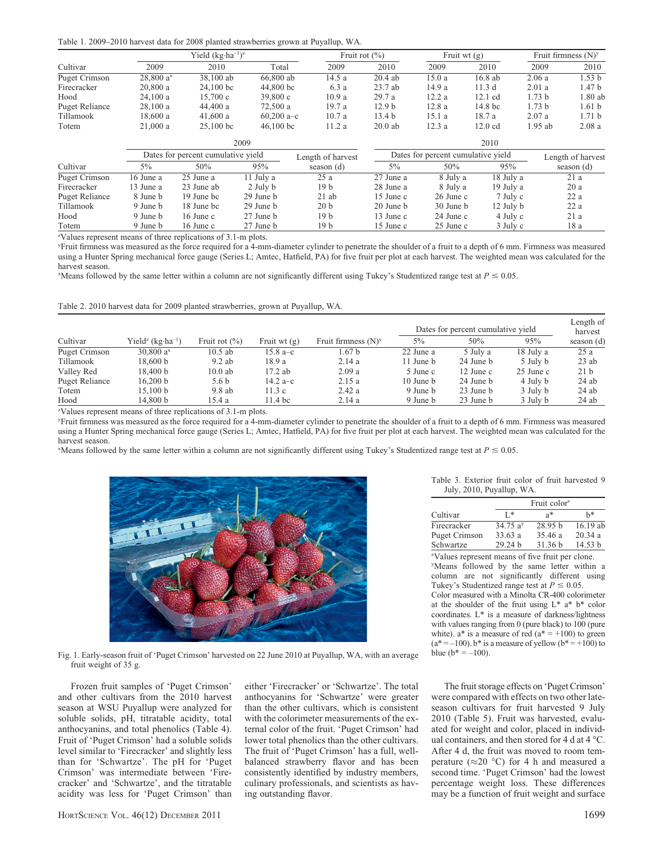Table 1. 2009–2010 harvest data for 2008 planted strawberries grown at Puyallup, WA.

|                      |               | Yield $(kg \cdot ha^{-1})^z$       |              | Fruit rot $(\% )$ |                   | Fruit wt $(g)$                     |                   |                   | Fruit firmness $(N)^y$ |
|----------------------|---------------|------------------------------------|--------------|-------------------|-------------------|------------------------------------|-------------------|-------------------|------------------------|
| Cultivar             | 2009          | 2010                               | Total        | 2009              | 2010              | 2009                               | 2010              | 2009              | 2010                   |
| <b>Puget Crimson</b> | $28,800a^{x}$ | 38,100 ab                          | 66,800 ab    | 14.5a             | 20.4ab            | 15.0a                              | 16.8 ab           | 2.06a             | 1.53 b                 |
| Firecracker          | 20,800a       | $24.100$ bc                        | 44,800 bc    | 6.3 a             | $23.7$ ab         | 14.9 a                             | 11.3d             | 2.01a             | 1.47 <sub>b</sub>      |
| Hood                 | 24.100a       | 15,700c                            | 39,800c      | 10.9a             | 29.7a             | 12.2a                              | $12.1 \text{ cd}$ | 1.73 <sub>b</sub> | 1.80 ab                |
| Puget Reliance       | 28.100a       | 44,400 a                           | 72,500 a     | 19.7a             | 12.9 <sub>b</sub> | 12.8a                              | 14.8 bc           | 1.73 <sub>b</sub> | 1.61 <sub>b</sub>      |
| Tillamook            | 18,600a       | 41,600a                            | $60,200$ a-c | 10.7a             | 13.4 <sub>b</sub> | 15.1a                              | 18.7a             | 2.07a             | 1.71 <sub>b</sub>      |
| Totem                | 21,000a       | $25,100$ bc                        | $46,100$ bc  | 11.2 a            | $20.0$ ab         | 12.3a                              | $12.0 \text{ cd}$ | $1.95$ ab         | 2.08a                  |
|                      |               | 2009                               |              |                   |                   | 2010                               |                   |                   |                        |
|                      |               | Dates for percent cumulative yield |              | Length of harvest |                   | Dates for percent cumulative yield |                   |                   | Length of harvest      |
| Cultivar             | $5\%$         | 50%                                | 95%          | season $(d)$      | $5\%$             | 50%                                | 95%               |                   | season (d)             |
| Puget Crimson        | 16 June a     | 25 June a                          | 11 July a    | 25a               | 27 June a         | 8 July a                           | 18 July a         |                   | 21a                    |
| Firecracker          | 13 June a     | 23 June ab                         | 2 July b     | 19 b              | 28 June a         | 8 July a                           | 19 July a         |                   | 20a                    |
| Puget Reliance       | 8 June b      | 19 June bc                         | 29 June b    | $21$ ab           | 15 June c         | $26$ June c                        | 7 July c          |                   | 22a                    |
| Tillamook            | 9 June b      | 18 June bc                         | 29 June b    | 20 <sub>b</sub>   | 20 June b         | 30 June b                          | 12 July b         |                   | 22a                    |
| Hood                 | 9 June b      | $16$ June c                        | 27 June b    | 19 b              | 13 June c         | 24 June c                          | 4 July c          |                   | 21a                    |
| Totem                | 9 June b      | $16$ June c                        | 27 June b    | 19 b              | 15 June c         | 25 June c                          | 3 July c          |                   | 18 a                   |

z Values represent means of three replications of 3.1-m plots.

y Fruit firmness was measured as the force required for a 4-mm-diameter cylinder to penetrate the shoulder of a fruit to a depth of 6 mm. Firmness was measured using a Hunter Spring mechanical force gauge (Series L; Amtec, Hatfield, PA) for five fruit per plot at each harvest. The weighted mean was calculated for the harvest season.

"Means followed by the same letter within a column are not significantly different using Tukey's Studentized range test at  $P \le 0.05$ .

Table 2. 2010 harvest data for 2009 planted strawberries, grown at Puyallup, WA.

|                   |                                           |                                                   |                    |                        | Dates for percent cumulative yield |           |           | Length of<br>harvest |
|-------------------|-------------------------------------------|---------------------------------------------------|--------------------|------------------------|------------------------------------|-----------|-----------|----------------------|
| Cultivar          | Yield <sup>z</sup> (kg·ha <sup>-1</sup> ) | Fruit rot $(\% )$                                 | Fruit wt $(g)$     | Fruit firmness $(N)^y$ | $5\%$                              | 50%       | 95%       | season $(d)$         |
| Puget Crimson     | 30,800 $a^x$                              | $10.5$ ab                                         | 15.8 a–c           | .67 b                  | 22 June a                          | 5 July a  | 18 July a | 25a                  |
| Tillamook         | 18,600 b                                  | $9.2$ ab                                          | 18.9 a             | 2.14a                  | 11 June b                          | 24 June b | 5 July b  | $23$ ab              |
| Valley Red        | 18,400 b                                  | $10.0$ ab                                         | $17.2$ ab          | 2.09a                  | 5 June c                           | 12 June c | 25 June c | 21 <sub>b</sub>      |
| Puget Reliance    | 16,200 b                                  | 5.6 <sub>b</sub>                                  | 14.2 a–c           | 2.15a                  | 10 June b                          | 24 June b | 4 July b  | $24$ ab              |
| Totem             | 15.100 b                                  | 9.8ab                                             | 11.3c              | 2.42a                  | 9 June b                           | 23 June b | 3 July b  | $24$ ab              |
| Hood<br>$- - - -$ | 14.800 b<br>$\sim$ $\sim$                 | 15.4 a<br>.<br>$\sim$ $\sim$ $\sim$ $\sim$ $\sim$ | 11.4 <sub>bc</sub> | 2.14a                  | 9 June b                           | 23 June b | 3 July b  | $24$ ab              |

z Values represent means of three replications of 3.1-m plots.

y Fruit firmness was measured as the force required for a 4-mm-diameter cylinder to penetrate the shoulder of a fruit to a depth of 6 mm. Firmness was measured using a Hunter Spring mechanical force gauge (Series L; Amtec, Hatfield, PA) for five fruit per plot at each harvest. The weighted mean was calculated for the harvest season.

"Means followed by the same letter within a column are not significantly different using Tukey's Studentized range test at  $P \le 0.05$ .



Table 3. Exterior fruit color of fruit harvested 9 July, 2010, Puyallup, WA.

|               |                              | Fruit color <sup>z</sup> |          |
|---------------|------------------------------|--------------------------|----------|
| Cultivar      | I*                           | $a^*$                    | h*       |
| Firecracker   | $34.75 \text{ a}^{\text{y}}$ | 28.95 h                  | 16.19 ab |
| Puget Crimson | 33.63a                       | 35.46 a                  | 20.34a   |
| Schwartze     | 29.24 h                      | 31.36 b                  | 14.53 h  |

z Values represent means of five fruit per clone. y Means followed by the same letter within a column are not significantly different using Tukey's Studentized range test at  $P \le 0.05$ .

Color measured with a Minolta CR-400 colorimeter at the shoulder of the fruit using L\* a\* b\* color coordinates. L\* is a measure of darkness/lightness with values ranging from 0 (pure black) to 100 (pure white).  $a^*$  is a measure of red  $(a^* = +100)$  to green  $(a^* = -100)$ . b\* is a measure of yellow  $(b^* = +100)$  to blue  $(b^* = -100)$ .

Fig. 1. Early-season fruit of 'Puget Crimson' harvested on 22 June 2010 at Puyallup, WA, with an average fruit weight of 35 g.

Frozen fruit samples of 'Puget Crimson' and other cultivars from the 2010 harvest season at WSU Puyallup were analyzed for soluble solids, pH, titratable acidity, total anthocyanins, and total phenolics (Table 4). Fruit of 'Puget Crimson' had a soluble solids level similar to 'Firecracker' and slightly less than for 'Schwartze'. The pH for 'Puget Crimson' was intermediate between 'Firecracker' and 'Schwartze', and the titratable acidity was less for 'Puget Crimson' than either 'Firecracker' or 'Schwartze'. The total anthocyanins for 'Schwartze' were greater than the other cultivars, which is consistent with the colorimeter measurements of the external color of the fruit. 'Puget Crimson' had lower total phenolics than the other cultivars. The fruit of 'Puget Crimson' has a full, wellbalanced strawberry flavor and has been consistently identified by industry members, culinary professionals, and scientists as having outstanding flavor.

The fruit storage effects on 'Puget Crimson' were compared with effects on two other lateseason cultivars for fruit harvested 9 July 2010 (Table 5). Fruit was harvested, evaluated for weight and color, placed in individual containers, and then stored for 4 d at  $4^{\circ}$ C. After 4 d, the fruit was moved to room temperature ( $\approx$ 20 °C) for 4 h and measured a second time. 'Puget Crimson' had the lowest percentage weight loss. These differences may be a function of fruit weight and surface